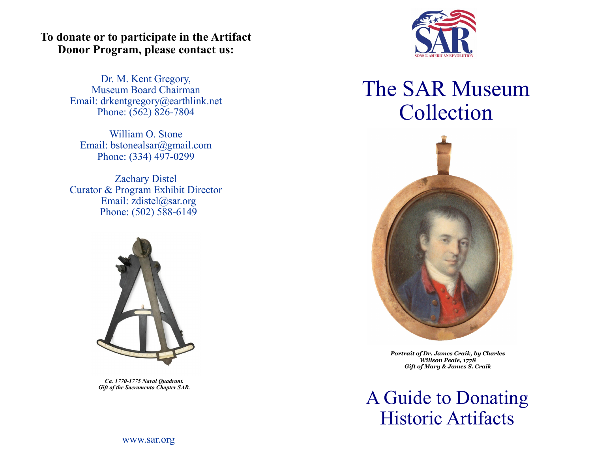## **To donate or to participate in the Artifact Donor Program, please contact us:**

Dr. M. Kent Gregory, Museum Board Chairman Email: drkentgregory@earthlink.net Phone: (562) 826-7804

William O. Stone Email: [bstonealsar@gmail.com](mailto:bstonealsar@gmail.com)  Phone: (334) 497-0299

Zachary Distel Curator & Program Exhibit Director Email: [zdistel@sar.org](mailto:zdistel@sar.org) Phone: (502) 588-6149



*Ca. 1770-1775 Naval Quadrant. Gift of the Sacramento Chapter SAR.*



## The SAR Museum Collection



*Portrait of Dr. James Craik, by Charles Willson Peale, 1778 Gift of Mary & James S. Craik*

A Guide to Donating Historic Artifacts